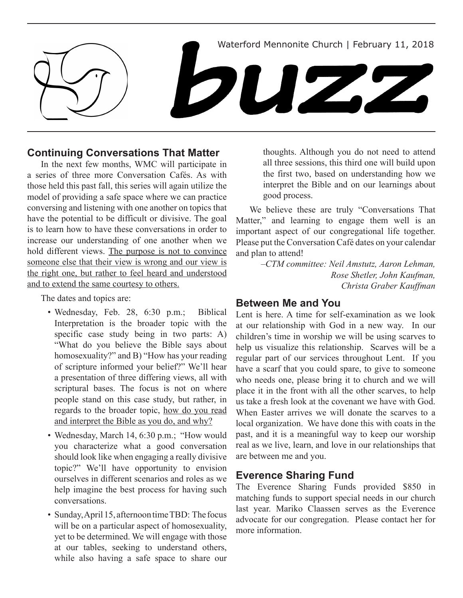

# **Continuing Conversations That Matter**

In the next few months, WMC will participate in a series of three more Conversation Cafés. As with those held this past fall, this series will again utilize the model of providing a safe space where we can practice conversing and listening with one another on topics that have the potential to be difficult or divisive. The goal is to learn how to have these conversations in order to increase our understanding of one another when we hold different views. The purpose is not to convince someone else that their view is wrong and our view is the right one, but rather to feel heard and understood and to extend the same courtesy to others.

The dates and topics are:

- Wednesday, Feb. 28, 6:30 p.m.; Biblical Interpretation is the broader topic with the specific case study being in two parts: A) "What do you believe the Bible says about homosexuality?" and B) "How has your reading of scripture informed your belief?" We'll hear a presentation of three differing views, all with scriptural bases. The focus is not on where people stand on this case study, but rather, in regards to the broader topic, how do you read and interpret the Bible as you do, and why?
- Wednesday, March 14, 6:30 p.m.; "How would you characterize what a good conversation should look like when engaging a really divisive topic?" We'll have opportunity to envision ourselves in different scenarios and roles as we help imagine the best process for having such conversations.
- Sunday, April 15, afternoon time TBD: The focus will be on a particular aspect of homosexuality, yet to be determined. We will engage with those at our tables, seeking to understand others, while also having a safe space to share our

thoughts. Although you do not need to attend all three sessions, this third one will build upon the first two, based on understanding how we interpret the Bible and on our learnings about good process.

We believe these are truly "Conversations That Matter," and learning to engage them well is an important aspect of our congregational life together. Please put the Conversation Café dates on your calendar and plan to attend!

> *–CTM committee: Neil Amstutz, Aaron Lehman, Rose Shetler, John Kaufman, Christa Graber Kauffman*

## **Between Me and You**

Lent is here. A time for self-examination as we look at our relationship with God in a new way. In our children's time in worship we will be using scarves to help us visualize this relationship. Scarves will be a regular part of our services throughout Lent. If you have a scarf that you could spare, to give to someone who needs one, please bring it to church and we will place it in the front with all the other scarves, to help us take a fresh look at the covenant we have with God. When Easter arrives we will donate the scarves to a local organization. We have done this with coats in the past, and it is a meaningful way to keep our worship real as we live, learn, and love in our relationships that are between me and you.

# **Everence Sharing Fund**

The Everence Sharing Funds provided \$850 in matching funds to support special needs in our church last year. Mariko Claassen serves as the Everence advocate for our congregation. Please contact her for more information.